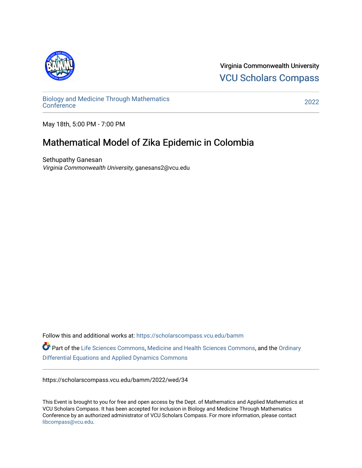

Virginia Commonwealth University [VCU Scholars Compass](https://scholarscompass.vcu.edu/) 

[Biology and Medicine Through Mathematics](https://scholarscompass.vcu.edu/bamm)  [Conference](https://scholarscompass.vcu.edu/bamm) [2022](https://scholarscompass.vcu.edu/bamm/2022) 

May 18th, 5:00 PM - 7:00 PM

## Mathematical Model of Zika Epidemic in Colombia

Sethupathy Ganesan Virginia Commonwealth University, ganesans2@vcu.edu

Follow this and additional works at: [https://scholarscompass.vcu.edu/bamm](https://scholarscompass.vcu.edu/bamm?utm_source=scholarscompass.vcu.edu%2Fbamm%2F2022%2Fwed%2F34&utm_medium=PDF&utm_campaign=PDFCoverPages) Part of the [Life Sciences Commons,](http://network.bepress.com/hgg/discipline/1016?utm_source=scholarscompass.vcu.edu%2Fbamm%2F2022%2Fwed%2F34&utm_medium=PDF&utm_campaign=PDFCoverPages) [Medicine and Health Sciences Commons,](http://network.bepress.com/hgg/discipline/648?utm_source=scholarscompass.vcu.edu%2Fbamm%2F2022%2Fwed%2F34&utm_medium=PDF&utm_campaign=PDFCoverPages) and the [Ordinary](http://network.bepress.com/hgg/discipline/121?utm_source=scholarscompass.vcu.edu%2Fbamm%2F2022%2Fwed%2F34&utm_medium=PDF&utm_campaign=PDFCoverPages) [Differential Equations and Applied Dynamics Commons](http://network.bepress.com/hgg/discipline/121?utm_source=scholarscompass.vcu.edu%2Fbamm%2F2022%2Fwed%2F34&utm_medium=PDF&utm_campaign=PDFCoverPages) 

https://scholarscompass.vcu.edu/bamm/2022/wed/34

This Event is brought to you for free and open access by the Dept. of Mathematics and Applied Mathematics at VCU Scholars Compass. It has been accepted for inclusion in Biology and Medicine Through Mathematics Conference by an authorized administrator of VCU Scholars Compass. For more information, please contact [libcompass@vcu.edu.](mailto:libcompass@vcu.edu)